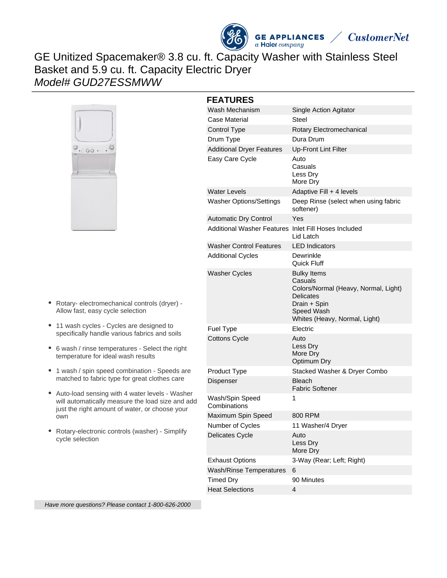

**GE APPLIANCES**  $a$  Haier company



# GE Unitized Spacemaker® 3.8 cu. ft. Capacity Washer with Stainless Steel Basket and 5.9 cu. ft. Capacity Electric Dryer Model# GUD27ESSMWW



- Rotary- electromechanical controls (dryer) Allow fast, easy cycle selection
- 11 wash cycles Cycles are designed to specifically handle various fabrics and soils
- 6 wash / rinse temperatures Select the right temperature for ideal wash results
- 1 wash / spin speed combination Speeds are matched to fabric type for great clothes care
- Auto-load sensing with 4 water levels Washer will automatically measure the load size and add just the right amount of water, or choose your own
- Rotary-electronic controls (washer) Simplify cycle selection

| <b>FEATURES</b>                                      |                                                                                                                                                   |
|------------------------------------------------------|---------------------------------------------------------------------------------------------------------------------------------------------------|
| Wash Mechanism                                       | Single Action Agitator                                                                                                                            |
| Case Material                                        | Steel                                                                                                                                             |
| Control Type                                         | Rotary Electromechanical                                                                                                                          |
| Drum Type                                            | Dura Drum                                                                                                                                         |
| <b>Additional Dryer Features</b>                     | <b>Up-Front Lint Filter</b>                                                                                                                       |
| Easy Care Cycle                                      | Auto<br>Casuals<br>Less Dry<br>More Dry                                                                                                           |
| <b>Water Levels</b>                                  | Adaptive Fill + 4 levels                                                                                                                          |
| <b>Washer Options/Settings</b>                       | Deep Rinse (select when using fabric<br>softener)                                                                                                 |
| <b>Automatic Dry Control</b>                         | Yes                                                                                                                                               |
| Additional Washer Features Inlet Fill Hoses Included | Lid Latch                                                                                                                                         |
| <b>Washer Control Features</b>                       | <b>LED</b> Indicators                                                                                                                             |
| <b>Additional Cycles</b>                             | Dewrinkle<br>Quick Fluff                                                                                                                          |
| <b>Washer Cycles</b>                                 | <b>Bulky Items</b><br>Casuals<br>Colors/Normal (Heavy, Normal, Light)<br>Delicates<br>Drain + Spin<br>Speed Wash<br>Whites (Heavy, Normal, Light) |
| Fuel Type                                            | Electric                                                                                                                                          |
| <b>Cottons Cycle</b>                                 | Auto<br>Less Dry<br>More Dry<br>Optimum Dry                                                                                                       |
| Product Type                                         | Stacked Washer & Dryer Combo                                                                                                                      |
| Dispenser                                            | <b>Bleach</b><br>Fabric Softener                                                                                                                  |
| Wash/Spin Speed<br>Combinations                      | 1                                                                                                                                                 |
| Maximum Spin Speed                                   | 800 RPM                                                                                                                                           |
| Number of Cycles                                     | 11 Washer/4 Dryer                                                                                                                                 |
| Delicates Cycle                                      | Auto<br>Less Dry<br>More Dry                                                                                                                      |
| <b>Exhaust Options</b>                               | 3-Way (Rear; Left; Right)                                                                                                                         |
| <b>Wash/Rinse Temperatures</b>                       | 6                                                                                                                                                 |
| <b>Timed Dry</b>                                     | 90 Minutes                                                                                                                                        |
| <b>Heat Selections</b>                               | 4                                                                                                                                                 |

Have more questions? Please contact 1-800-626-2000